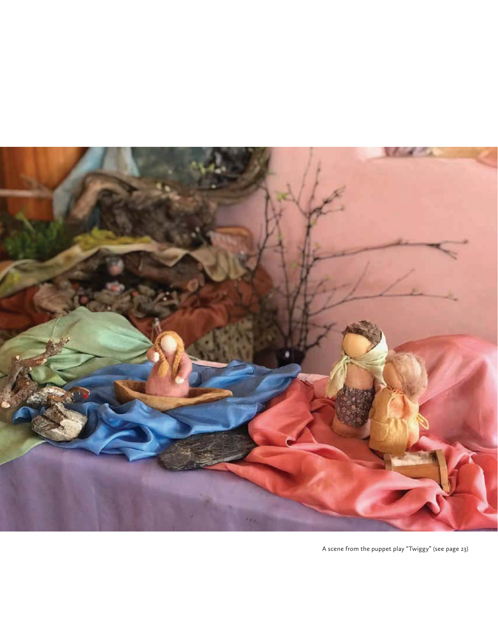

A scene from the puppet play "Twiggy" (see page 23)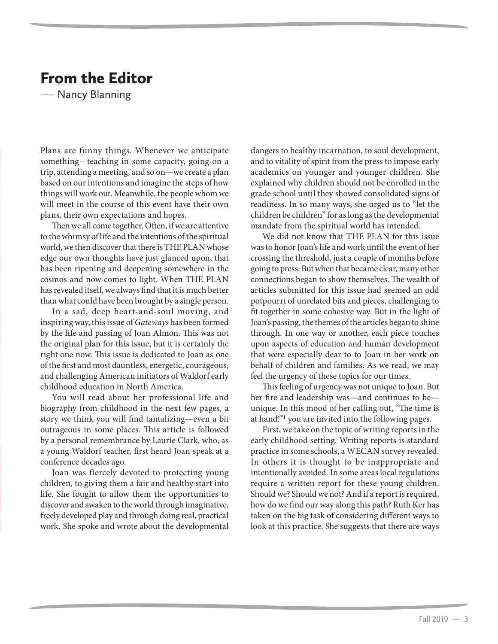## From the Editor

 $\sim$  Nancy Blanning

Plans are funny things. Whenever we anticipate something—teaching in some capacity, going on a trip, attending a meeting, and so on—we create a plan based on our intentions and imagine the steps of how things will work out. Meanwhile, the people whom we will meet in the course of this event have their own plans, their own expectations and hopes.

Then we all come together. Often, if we are attentive to the whimsy of life and the intentions of the spiritual world, we then discover that there is THE PLAN whose edge our own thoughts have just glanced upon, that has been ripening and deepening somewhere in the cosmos and now comes to light. When THE PLAN has revealed itself, we always find that it is much better than what could have been brought by a single person.

In a sad, deep heart-and-soul moving, and inspiring way, this issue of Gateways has been formed by the life and passing of Joan Almon. This was not the original plan for this issue, but it is certainly the right one now. This issue is dedicated to Joan as one of the first and most dauntless, energetic, courageous, and challenging American initiators of Waldorf early childhood education in North America.

You will read about her professional life and biography from childhood in the next few pages, a story we think you will find tantalizing—even a bit outrageous in some places. This article is followed by a personal remembrance by Laurie Clark, who, as a young Waldorf teacher, first heard Joan speak at a conference decades ago.

Joan was fiercely devoted to protecting young children, to giving them a fair and healthy start into life. She fought to allow them the opportunities to discover and awaken to the world through imaginative, freely developed play and through doing real, practical work. She spoke and wrote about the developmental dangers to healthy incarnation, to soul development, and to vitality of spirit from the press to impose early academics on younger and younger children. She explained why children should not be enrolled in the grade school until they showed consolidated signs of readiness. In so many ways, she urged us to "let the children be children" for as long as the developmental mandate from the spiritual world has intended.

We did not know that THE PLAN for this issue was to honor Joan's life and work until the event of her crossing the threshold, just a couple of months before going to press. But when that became clear, many other connections began to show themselves. The wealth of articles submitted for this issue had seemed an odd potpourri of unrelated bits and pieces, challenging to fit together in some cohesive way. But in the light of Joan's passing, the themes of the articles began to shine through. In one way or another, each piece touches upon aspects of education and human development that were especially dear to to Joan in her work on behalf of children and families. As we read, we may feel the urgency of these topics for our times.

This feeling of urgency was not unique to Joan. But her fire and leadership was—and continues to be unique. In this mood of her calling out, "The time is at hand!"**<sup>1</sup>** you are invited into the following pages.

First, we take on the topic of writing reports in the early childhood setting. Writing reports is standard practice in some schools, a WECAN survey revealed. In others it is thought to be inappropriate and intentionally avoided. In some areas local regulations require a written report for these young children. Should we? Should we not? And if a report is required, how do we find our way along this path? Ruth Ker has taken on the big task of considering different ways to look at this practice. She suggests that there are ways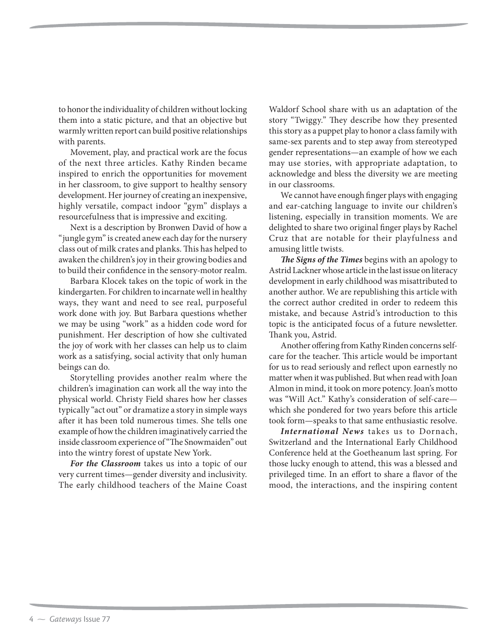to honor the individuality of children without locking them into a static picture, and that an objective but warmly written report can build positive relationships with parents.

Movement, play, and practical work are the focus of the next three articles. Kathy Rinden became inspired to enrich the opportunities for movement in her classroom, to give support to healthy sensory development. Her journey of creating an inexpensive, highly versatile, compact indoor "gym" displays a resourcefulness that is impressive and exciting.

Next is a description by Bronwen David of how a "jungle gym" is created anew each day for the nursery class out of milk crates and planks. This has helped to awaken the children's joy in their growing bodies and to build their confidence in the sensory-motor realm.

Barbara Klocek takes on the topic of work in the kindergarten. For children to incarnate well in healthy ways, they want and need to see real, purposeful work done with joy. But Barbara questions whether we may be using "work" as a hidden code word for punishment. Her description of how she cultivated the joy of work with her classes can help us to claim work as a satisfying, social activity that only human beings can do.

Storytelling provides another realm where the children's imagination can work all the way into the physical world. Christy Field shares how her classes typically "act out" or dramatize a story in simple ways after it has been told numerous times. She tells one example of how the children imaginatively carried the inside classroom experience of "The Snowmaiden" out into the wintry forest of upstate New York.

*For the Classroom* takes us into a topic of our very current times—gender diversity and inclusivity. The early childhood teachers of the Maine Coast Waldorf School share with us an adaptation of the story "Twiggy." They describe how they presented this story as a puppet play to honor a class family with same-sex parents and to step away from stereotyped gender representations—an example of how we each may use stories, with appropriate adaptation, to acknowledge and bless the diversity we are meeting in our classrooms.

We cannot have enough finger plays with engaging and ear-catching language to invite our children's listening, especially in transition moments. We are delighted to share two original finger plays by Rachel Cruz that are notable for their playfulness and amusing little twists.

*The Signs of the Times* begins with an apology to Astrid Lackner whose article in the last issue on literacy development in early childhood was misattributed to another author. We are republishing this article with the correct author credited in order to redeem this mistake, and because Astrid's introduction to this topic is the anticipated focus of a future newsletter. Thank you, Astrid.

Another offering from Kathy Rinden concerns selfcare for the teacher. This article would be important for us to read seriously and reflect upon earnestly no matter when it was published. But when read with Joan Almon in mind, it took on more potency. Joan's motto was "Will Act." Kathy's consideration of self-care which she pondered for two years before this article took form—speaks to that same enthusiastic resolve.

*International News* takes us to Dornach, Switzerland and the International Early Childhood Conference held at the Goetheanum last spring. For those lucky enough to attend, this was a blessed and privileged time. In an effort to share a flavor of the mood, the interactions, and the inspiring content